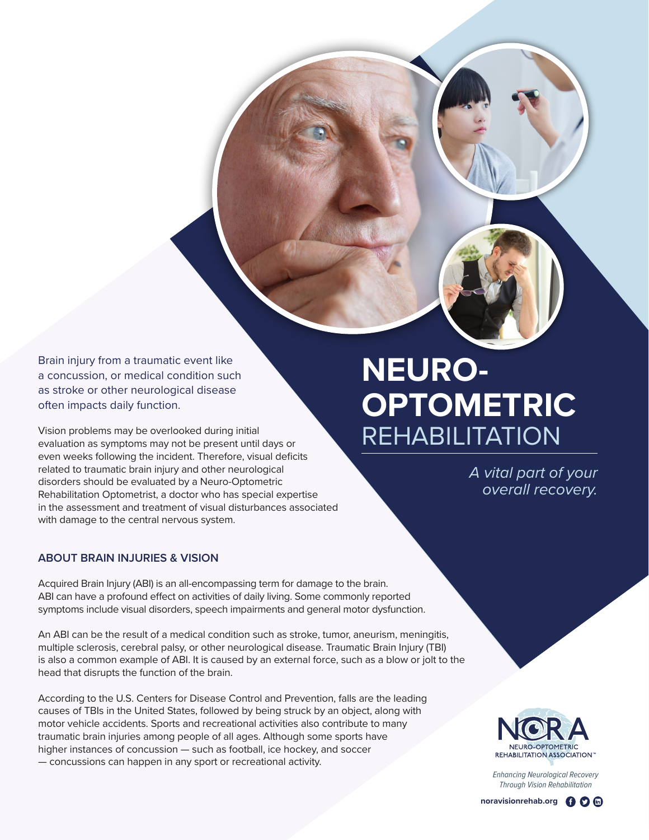Brain injury from a traumatic event like a concussion, or medical condition such as stroke or other neurological disease often impacts daily function.

Vision problems may be overlooked during initial evaluation as symptoms may not be present until days or even weeks following the incident. Therefore, visual deficits related to traumatic brain injury and other neurological disorders should be evaluated by a Neuro-Optometric Rehabilitation Optometrist, a doctor who has special expertise in the assessment and treatment of visual disturbances associated with damage to the central nervous system.

## **ABOUT BRAIN INJURIES & VISION**

Acquired Brain Injury (ABI) is an all-encompassing term for damage to the brain. ABI can have a profound effect on activities of daily living. Some commonly reported symptoms include visual disorders, speech impairments and general motor dysfunction.

An ABI can be the result of a medical condition such as stroke, tumor, aneurism, meningitis, multiple sclerosis, cerebral palsy, or other neurological disease. Traumatic Brain Injury (TBI) is also a common example of ABI. It is caused by an external force, such as a blow or jolt to the head that disrupts the function of the brain.

According to the U.S. Centers for Disease Control and Prevention, falls are the leading causes of TBIs in the United States, followed by being struck by an object, along with motor vehicle accidents. Sports and recreational activities also contribute to many traumatic brain injuries among people of all ages. Although some sports have higher instances of concussion — such as football, ice hockey, and soccer — concussions can happen in any sport or recreational activity.

## **NEURO-OPTOMETRIC** REHABILITATION

*A vital part of your overall recovery.*



*Enhancing Neurological Recovery Through Vision Rehabilitation*

**noravisionrehab.org O D**